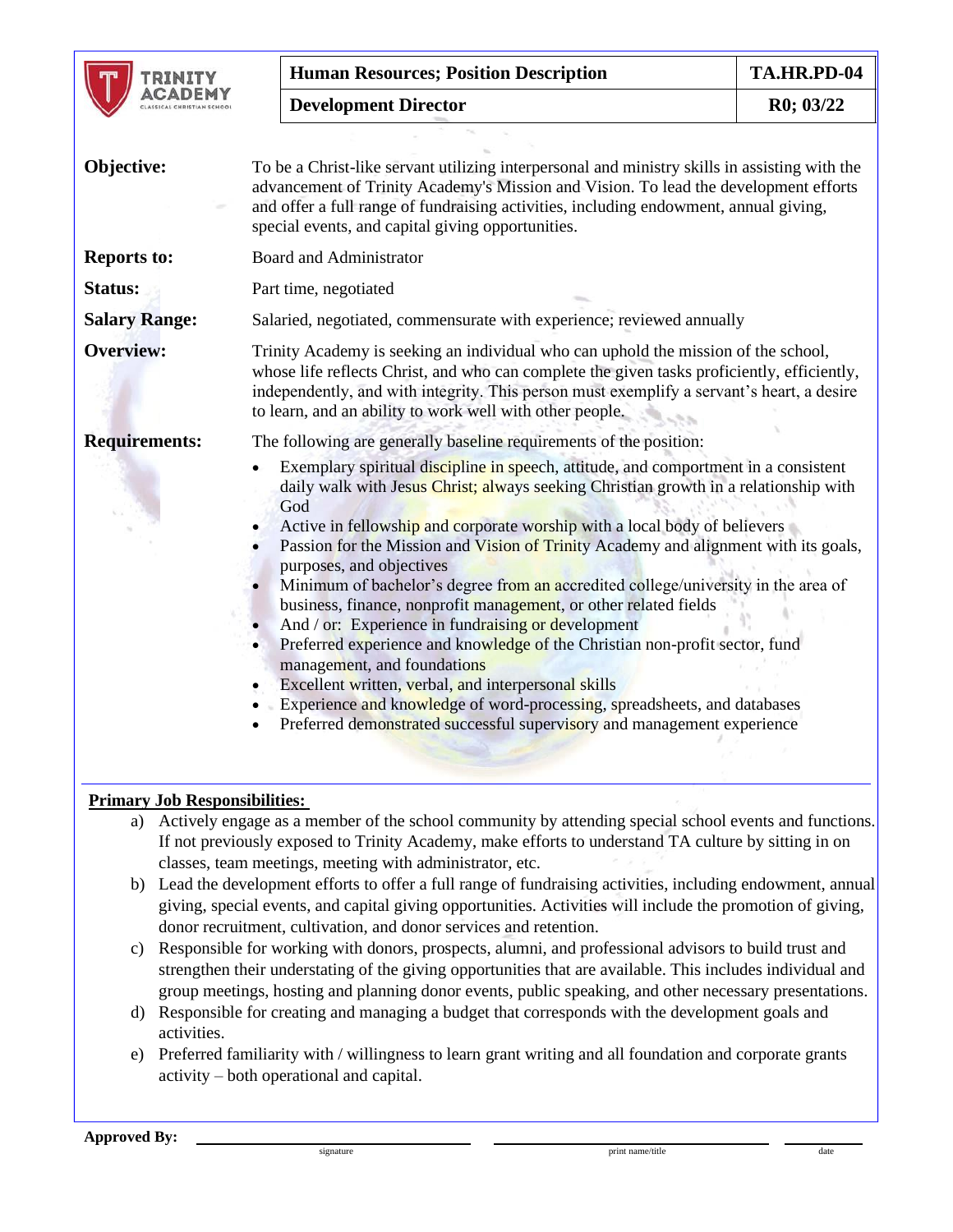|                      | <b>Human Resources; Position Description</b>                                                                                                                                                                                                                                                                                                                                                                                                                                                                                                                                                                                                                                                                                                                                                                                                                                                                                                                                                                     | TA.HR.PD-04 |
|----------------------|------------------------------------------------------------------------------------------------------------------------------------------------------------------------------------------------------------------------------------------------------------------------------------------------------------------------------------------------------------------------------------------------------------------------------------------------------------------------------------------------------------------------------------------------------------------------------------------------------------------------------------------------------------------------------------------------------------------------------------------------------------------------------------------------------------------------------------------------------------------------------------------------------------------------------------------------------------------------------------------------------------------|-------------|
|                      | <b>Development Director</b>                                                                                                                                                                                                                                                                                                                                                                                                                                                                                                                                                                                                                                                                                                                                                                                                                                                                                                                                                                                      | R0; 03/22   |
| Objective:           | To be a Christ-like servant utilizing interpersonal and ministry skills in assisting with the<br>advancement of Trinity Academy's Mission and Vision. To lead the development efforts<br>and offer a full range of fundraising activities, including endowment, annual giving,<br>special events, and capital giving opportunities.                                                                                                                                                                                                                                                                                                                                                                                                                                                                                                                                                                                                                                                                              |             |
| <b>Reports to:</b>   | <b>Board and Administrator</b>                                                                                                                                                                                                                                                                                                                                                                                                                                                                                                                                                                                                                                                                                                                                                                                                                                                                                                                                                                                   |             |
| Status:              | Part time, negotiated                                                                                                                                                                                                                                                                                                                                                                                                                                                                                                                                                                                                                                                                                                                                                                                                                                                                                                                                                                                            |             |
| <b>Salary Range:</b> | Salaried, negotiated, commensurate with experience; reviewed annually                                                                                                                                                                                                                                                                                                                                                                                                                                                                                                                                                                                                                                                                                                                                                                                                                                                                                                                                            |             |
| <b>Overview:</b>     | Trinity Academy is seeking an individual who can uphold the mission of the school,<br>whose life reflects Christ, and who can complete the given tasks proficiently, efficiently,<br>independently, and with integrity. This person must exemplify a servant's heart, a desire<br>to learn, and an ability to work well with other people.                                                                                                                                                                                                                                                                                                                                                                                                                                                                                                                                                                                                                                                                       |             |
| <b>Requirements:</b> | The following are generally baseline requirements of the position:<br>Exemplary spiritual discipline in speech, attitude, and comportment in a consistent<br>daily walk with Jesus Christ; always seeking Christian growth in a relationship with<br>God<br>Active in fellowship and corporate worship with a local body of believers<br>Passion for the Mission and Vision of Trinity Academy and alignment with its goals,<br>purposes, and objectives<br>Minimum of bachelor's degree from an accredited college/university in the area of<br>business, finance, nonprofit management, or other related fields<br>And / or: Experience in fundraising or development<br>Preferred experience and knowledge of the Christian non-profit sector, fund<br>$\bullet$<br>management, and foundations<br>Excellent written, verbal, and interpersonal skills<br>Experience and knowledge of word-processing, spreadsheets, and databases<br>Preferred demonstrated successful supervisory and management experience |             |

## **Primary Job Responsibilities:**

- a) Actively engage as a member of the school community by attending special school events and functions. If not previously exposed to Trinity Academy, make efforts to understand TA culture by sitting in on classes, team meetings, meeting with administrator, etc.
- b) Lead the development efforts to offer a full range of fundraising activities, including endowment, annual giving, special events, and capital giving opportunities. Activities will include the promotion of giving, donor recruitment, cultivation, and donor services and retention.
- c) Responsible for working with donors, prospects, alumni, and professional advisors to build trust and strengthen their understating of the giving opportunities that are available. This includes individual and group meetings, hosting and planning donor events, public speaking, and other necessary presentations.
- d) Responsible for creating and managing a budget that corresponds with the development goals and activities.
- e) Preferred familiarity with / willingness to learn grant writing and all foundation and corporate grants activity – both operational and capital.